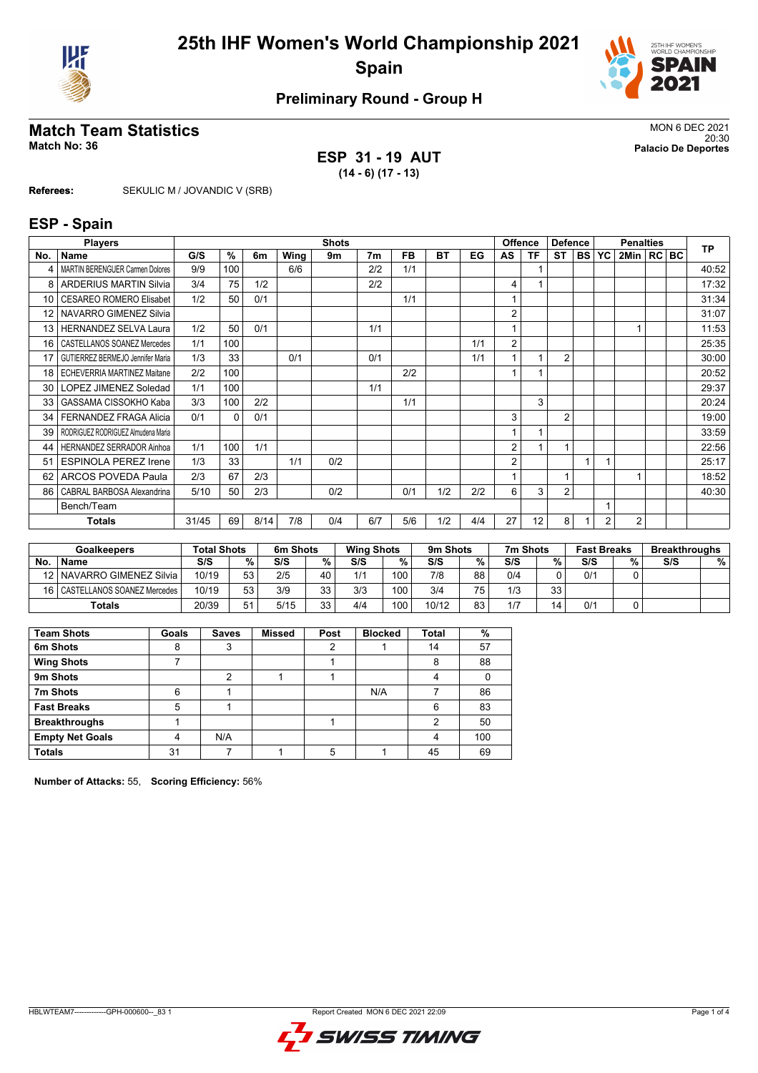



### **Preliminary Round - Group H**

# **Match Team Statistics**<br>MON 6 DEC 2021<br>Palacio De Deportes

**ESP 31 - 19 AUT (14 - 6) (17 - 13)**

20:30 **Match No: 36 Palacio De Deportes**

**Referees:** SEKULIC M / JOVANDIC V (SRB)

#### **ESP - Spain**

|                 | <b>Players</b>                          |       |          |      |      | <b>Shots</b> |                |           |           |     |                | <b>Offence</b> | <b>Defence</b> |           |                | <b>Penalties</b> |     | <b>TP</b> |
|-----------------|-----------------------------------------|-------|----------|------|------|--------------|----------------|-----------|-----------|-----|----------------|----------------|----------------|-----------|----------------|------------------|-----|-----------|
| No.             | Name                                    | G/S   | $\%$     | 6m   | Wing | 9m           | 7 <sub>m</sub> | <b>FB</b> | <b>BT</b> | EG  | AS             | ΤF             | <b>ST</b>      | <b>BS</b> | YC             | 2Min  RC         | BC. |           |
| 4               | <b>MARTIN BERENGUER Carmen Dolores</b>  | 9/9   | 100      |      | 6/6  |              | 2/2            | 1/1       |           |     |                |                |                |           |                |                  |     | 40:52     |
| 8               | <b>ARDERIUS MARTIN Silvia</b>           | 3/4   | 75       | 1/2  |      |              | 2/2            |           |           |     | 4              |                |                |           |                |                  |     | 17:32     |
| 10              | CESAREO ROMERO Elisabet                 | 1/2   | 50       | 0/1  |      |              |                | 1/1       |           |     |                |                |                |           |                |                  |     | 31:34     |
| 12 <sup>2</sup> | NAVARRO GIMENEZ Silvia                  |       |          |      |      |              |                |           |           |     | 2              |                |                |           |                |                  |     | 31:07     |
| 13              | <b>HERNANDEZ SELVA Laura</b>            | 1/2   | 50       | 0/1  |      |              | 1/1            |           |           |     | 1              |                |                |           |                |                  |     | 11:53     |
| 16              | CASTELLANOS SOANEZ Mercedes             | 1/1   | 100      |      |      |              |                |           |           | 1/1 | 2              |                |                |           |                |                  |     | 25:35     |
| 17              | <b>GUTIERREZ BERMEJO Jennifer Maria</b> | 1/3   | 33       |      | 0/1  |              | 0/1            |           |           | 1/1 |                |                | $\overline{2}$ |           |                |                  |     | 30:00     |
| 18              | ECHEVERRIA MARTINEZ Maitane             | 2/2   | 100      |      |      |              |                | 2/2       |           |     |                |                |                |           |                |                  |     | 20:52     |
| 30              | LOPEZ JIMENEZ Soledad                   | 1/1   | 100      |      |      |              | 1/1            |           |           |     |                |                |                |           |                |                  |     | 29:37     |
| 33              | GASSAMA CISSOKHO Kaba                   | 3/3   | 100      | 2/2  |      |              |                | 1/1       |           |     |                | 3              |                |           |                |                  |     | 20:24     |
| 34              | <b>FERNANDEZ FRAGA Alicia</b>           | 0/1   | $\Omega$ | 0/1  |      |              |                |           |           |     | 3              |                | $\overline{2}$ |           |                |                  |     | 19:00     |
| 39              | RODRIGUEZ RODRIGUEZ Almudena Maria      |       |          |      |      |              |                |           |           |     |                |                |                |           |                |                  |     | 33:59     |
| 44              | <b>HERNANDEZ SERRADOR Ainhoa</b>        | 1/1   | 100      | 1/1  |      |              |                |           |           |     | $\overline{2}$ |                | 1              |           |                |                  |     | 22:56     |
| 51              | <b>ESPINOLA PEREZ Irene</b>             | 1/3   | 33       |      | 1/1  | 0/2          |                |           |           |     | 2              |                |                |           |                |                  |     | 25:17     |
| 62              | <b>ARCOS POVEDA Paula</b>               | 2/3   | 67       | 2/3  |      |              |                |           |           |     |                |                | 1              |           |                |                  |     | 18:52     |
| 86              | CABRAL BARBOSA Alexandrina              | 5/10  | 50       | 2/3  |      | 0/2          |                | 0/1       | 1/2       | 2/2 | 6              | 3              | $\overline{2}$ |           |                |                  |     | 40:30     |
|                 | Bench/Team                              |       |          |      |      |              |                |           |           |     |                |                |                |           |                |                  |     |           |
|                 | <b>Totals</b>                           | 31/45 | 69       | 8/14 | 7/8  | 0/4          | 6/7            | 5/6       | 1/2       | 4/4 | 27             | 12             | 8              |           | $\overline{2}$ | $\overline{2}$   |     |           |

|     | <b>Goalkeepers</b>               | <b>Total Shots</b> |    | 6m Shots |           | <b>Wing Shots</b> |     | 9m Shots |     | 7m Shots |    | <b>Fast Breaks</b> |   | <b>Breakthroughs</b> |   |
|-----|----------------------------------|--------------------|----|----------|-----------|-------------------|-----|----------|-----|----------|----|--------------------|---|----------------------|---|
| No. | <b>Name</b>                      | S/S                | %  | S/S      | %         | S/S               | %   | S/S      | %   | S/S      | %  | S/S                | % | S/S                  | % |
|     | 12   NAVARRO GIMENEZ Silvia      | 10/19              | 53 | 2/5      | 40        | 1/1               | 100 | 7/8      | 88  | 0/4      |    | 0/1                |   |                      |   |
|     | 16   CASTELLANOS SOANEZ Mercedes | 10/19              | 53 | 3/9      | 33<br>ندف | 3/3               | 100 | 3/4      | 75. | 1/3      | 33 |                    |   |                      |   |
|     | <b>Totals</b>                    | 20/39              | 51 | 5/15     | 33        | 4/4               | 100 | 10/12    | 83  | 1/7      | 14 | 0/1                |   |                      |   |

| <b>Team Shots</b>      | Goals | <b>Saves</b> | <b>Missed</b> | Post | <b>Blocked</b> | <b>Total</b> | %   |
|------------------------|-------|--------------|---------------|------|----------------|--------------|-----|
| 6m Shots               | 8     |              |               |      |                | 14           | 57  |
| <b>Wing Shots</b>      |       |              |               |      |                | 8            | 88  |
| 9m Shots               |       |              |               |      |                |              |     |
| 7m Shots               | 6     |              |               |      | N/A            |              | 86  |
| <b>Fast Breaks</b>     | 5     |              |               |      |                | 6            | 83  |
| <b>Breakthroughs</b>   |       |              |               |      |                | റ            | 50  |
| <b>Empty Net Goals</b> |       | N/A          |               |      |                |              | 100 |
| <b>Totals</b>          | 31    |              |               | 5    |                | 45           | 69  |

**Number of Attacks:** 55, **Scoring Efficiency:** 56%

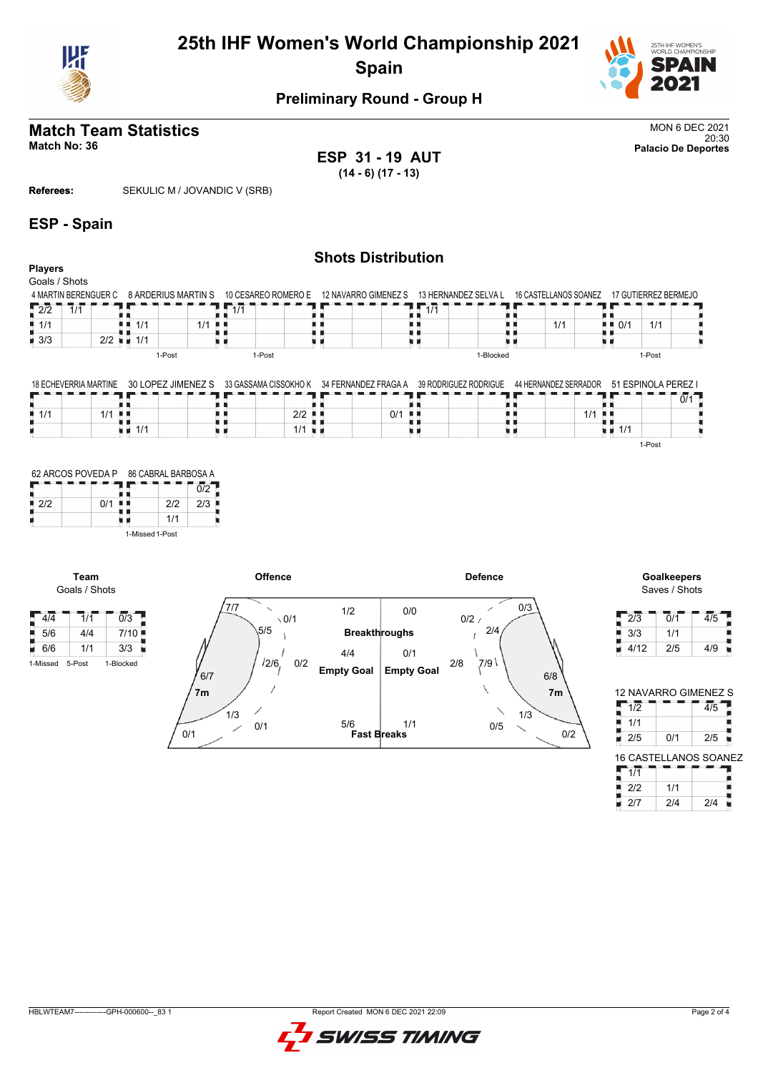



#### **Preliminary Round - Group H**

## **Match Team Statistics** MON 6 DEC 2021

20:30 **Match No: 36 Palacio De Deportes ESP 31 - 19 AUT (14 - 6) (17 - 13)**

**Referees:** SEKULIC M / JOVANDIC V (SRB)

#### **ESP - Spain**

#### **Shots Distribution Players** Goals / Shots 4 MARTIN BERENGUER C 8 ARDERIUS MARTIN S 10 CESAREO ROMERO E 12 NAVARRO GIMENEZ S 13 HERNANDEZ SELVA L 16 CASTELLANOS SOANEZ 17 GUTIERREZ BERMEJO  $12/2$  1/1  $1/1$  $1/1$  $\frac{1}{1}$  0/1 1/1  $\overline{11/1}$ Ш 电电 ă, . . 1/1  $1/1$  1/1  $-3/3$ 1/1 υø u n u a u a υø 1-Post 1-Post 1-Blocked 1-Post 18 ECHEVERRIA MARTINE  $34$  FEBUALDEZ FRAGA A 39 RODRIGUEZ RODRIGUE 44 HERNANDEZ SERRADOR 51 ESPINOLA PEREZ I

|     | 18 ECHEVERRIA MARTINE | 30 LOPEZ JIMENEZ | 33 GASSAMA CISSOKHO K | 34 FERNANDEZ FRAGA A | 39 RODRIGUEZ RODRIGUE | 44 HERNANDEZ SERRADOR | 51 FSPINOLA PFRFZ  |
|-----|-----------------------|------------------|-----------------------|----------------------|-----------------------|-----------------------|--------------------|
|     |                       |                  |                       |                      |                       |                       | 0/1                |
| 1/1 | 1/1                   |                  | 2/2                   | 0/1                  |                       | 1/1                   |                    |
|     |                       | 1/1              | 1/1                   |                      |                       |                       | $\blacksquare$ 1/1 |
|     |                       |                  |                       |                      |                       |                       | 1-Post             |

|     | 62 ARCOS POVEDA P | 86 CABRAL BARBOSA A |     |
|-----|-------------------|---------------------|-----|
|     |                   |                     | 0/2 |
| 212 | 0/1               | 212                 | 2/3 |
|     |                   | 1/1                 |     |
|     |                   | 1-Missed 1-Post     |     |

**Team**



Saves / Shots

| 2/3  | 0/1 | 4/5 |
|------|-----|-----|
| 3/3  | 1/1 |     |
| 4/12 | 2/5 | 4/9 |

|              |     | <b>12 NAVARRO GIMENEZ S</b>  |
|--------------|-----|------------------------------|
| 1/2          |     | $\overline{4/5}$             |
| 1/1          |     |                              |
| 2/5          | 0/1 | 2/5                          |
|              |     | <b>16 CASTELLANOS SOANEZ</b> |
| 1/1          |     |                              |
| 2/2          | 1/1 |                              |
| $\mathbf{2}$ | 2/4 | 214                          |

HBLWTEAM7-------------GPH-000600--\_83 1 Report Created MON 6 DEC 2021 22:09

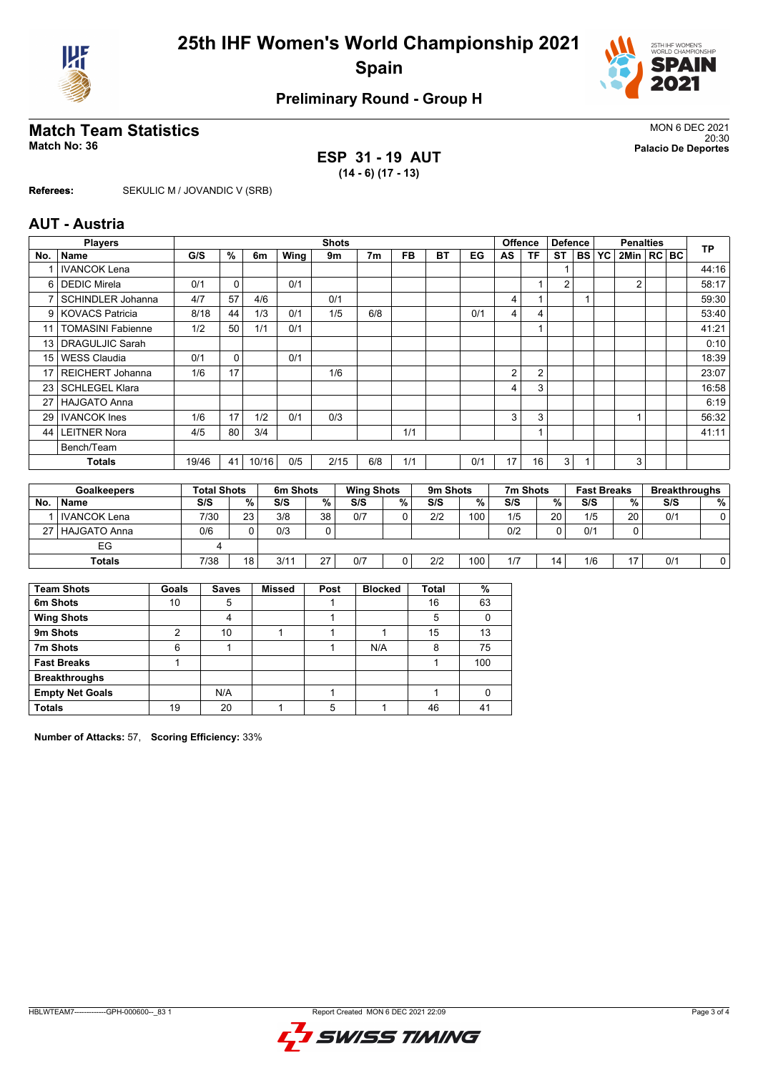



### **Preliminary Round - Group H**

# **Match Team Statistics** MON 6 DEC 2021

**ESP 31 - 19 AUT (14 - 6) (17 - 13)**

20:30 **Match No: 36 Palacio De Deportes**

**Referees:** SEKULIC M / JOVANDIC V (SRB)

#### **AUT - Austria**

|                | <b>Players</b>           |                    |             |       |          | <b>Shots</b> |                   |           |           |     |    | <b>Offence</b> | <b>Defence</b> |           |                    | <b>Penalties</b> |  | <b>TP</b>            |
|----------------|--------------------------|--------------------|-------------|-------|----------|--------------|-------------------|-----------|-----------|-----|----|----------------|----------------|-----------|--------------------|------------------|--|----------------------|
| No.            | Name                     | G/S                | %           | 6m    | Wing     | 9m           | 7 <sub>m</sub>    | <b>FB</b> | <b>BT</b> | EG  | AS | <b>TF</b>      | <b>ST</b>      | <b>BS</b> | YC                 | 2Min   RC   BC   |  |                      |
|                | <b>IVANCOK Lena</b>      |                    |             |       |          |              |                   |           |           |     |    |                |                |           |                    |                  |  | 44:16                |
| 6              | <b>DEDIC Mirela</b>      | 0/1                | $\mathbf 0$ |       | 0/1      |              |                   |           |           |     |    |                | $\overline{2}$ |           |                    | 2                |  | 58:17                |
| $\overline{7}$ | <b>SCHINDLER Johanna</b> | 4/7                | 57          | 4/6   |          | 0/1          |                   |           |           |     | 4  |                |                |           |                    |                  |  | 59:30                |
| 9 <sup>1</sup> | l KOVACS Patricia        | 8/18               | 44          | 1/3   | 0/1      | 1/5          | 6/8               |           |           | 0/1 | 4  | 4              |                |           |                    |                  |  | 53:40                |
| 11             | <b>TOMASINI Fabienne</b> | 1/2                | 50          | 1/1   | 0/1      |              |                   |           |           |     |    |                |                |           |                    |                  |  | 41:21                |
| 13             | <b>DRAGULJIC Sarah</b>   |                    |             |       |          |              |                   |           |           |     |    |                |                |           |                    |                  |  | 0:10                 |
| 15             | <b>WESS Claudia</b>      | 0/1                | $\mathbf 0$ |       | 0/1      |              |                   |           |           |     |    |                |                |           |                    |                  |  | 18:39                |
| 17             | REICHERT Johanna         | 1/6                | 17          |       |          | 1/6          |                   |           |           |     | 2  | $\overline{2}$ |                |           |                    |                  |  | 23:07                |
| 23             | <b>SCHLEGEL Klara</b>    |                    |             |       |          |              |                   |           |           |     | 4  | 3              |                |           |                    |                  |  | 16:58                |
| 27             | <b>HAJGATO Anna</b>      |                    |             |       |          |              |                   |           |           |     |    |                |                |           |                    |                  |  | 6:19                 |
| 29             | <b>IVANCOK</b> Ines      | 1/6                | 17          | 1/2   | 0/1      | 0/3          |                   |           |           |     | 3  | 3              |                |           |                    |                  |  | 56:32                |
| 44             | <b>LEITNER Nora</b>      | 4/5                | 80          | 3/4   |          |              |                   | 1/1       |           |     |    |                |                |           |                    |                  |  | 41:11                |
|                | Bench/Team               |                    |             |       |          |              |                   |           |           |     |    |                |                |           |                    |                  |  |                      |
|                | Totals                   | 19/46              | 41          | 10/16 | 0/5      | 2/15         | 6/8               | 1/1       |           | 0/1 | 17 | 16             | 3              |           |                    | 3                |  |                      |
|                |                          |                    |             |       |          |              |                   |           |           |     |    |                |                |           |                    |                  |  |                      |
|                | <b>Goalkeepers</b>       | <b>Total Shots</b> |             |       | 6m Shots |              | <b>Wing Shots</b> |           | 9m Shots  |     |    | 7m Shots       |                |           | <b>Fast Breaks</b> |                  |  | <b>Breakthroughs</b> |

|     | <b>Goalkeepers</b>  | Total Shots |                 | <b>bm Shots</b> |    | wing Shots |    | <b>9m Shots</b> |     | <i>I</i> m Shots |    | rast Breaks |    | <b>Breakthroughs</b> |   |
|-----|---------------------|-------------|-----------------|-----------------|----|------------|----|-----------------|-----|------------------|----|-------------|----|----------------------|---|
| No. | <b>Name</b>         | S/S         | %               | S/S             | %  | S/S        | %. | S/S             | %.  | S/S              | %  | S/S         | %  | S/S                  | % |
|     | l IVANCOK Lena      | 7/30        | 23              | 3/8             | 38 | 0/7        |    | 2/2             | 100 | 1/5              | 20 | 1/5         | 20 | 0/1                  |   |
| 27  | <b>HAJGATO Anna</b> | 0/6         |                 | 0/3             |    |            |    |                 |     | 0/2              | 0  | 0/1         |    |                      |   |
|     | ЕG                  |             |                 |                 |    |            |    |                 |     |                  |    |             |    |                      |   |
|     | Totals              | 7/38        | 18 <sub>1</sub> | 3/11            | 27 | 0/7        |    | 2/2             | 100 | 1/7              | 14 | 1/6         | 17 | 0/1                  |   |

| <b>Team Shots</b>      | Goals | <b>Saves</b> | <b>Missed</b> | Post | <b>Blocked</b> | <b>Total</b> | %   |
|------------------------|-------|--------------|---------------|------|----------------|--------------|-----|
| 6m Shots               | 10    | 5            |               |      |                | 16           | 63  |
| <b>Wing Shots</b>      |       | 4            |               |      |                | 5            |     |
| 9m Shots               | ◠     | 10           |               |      |                | 15           | 13  |
| 7m Shots               | 6     |              |               |      | N/A            | 8            | 75  |
| <b>Fast Breaks</b>     |       |              |               |      |                |              | 100 |
| <b>Breakthroughs</b>   |       |              |               |      |                |              |     |
| <b>Empty Net Goals</b> |       | N/A          |               |      |                |              |     |
| <b>Totals</b>          | 19    | 20           |               | 5    |                | 46           | 41  |

**Number of Attacks:** 57, **Scoring Efficiency:** 33%